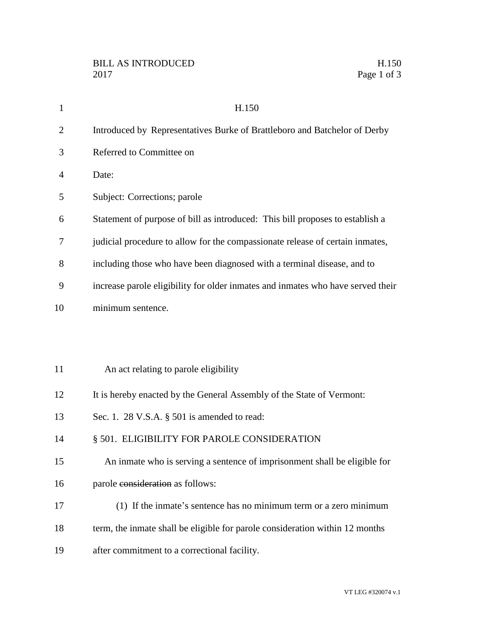| $\mathbf{1}$   | H.150                                                                           |
|----------------|---------------------------------------------------------------------------------|
| $\overline{2}$ | Introduced by Representatives Burke of Brattleboro and Batchelor of Derby       |
| 3              | Referred to Committee on                                                        |
| 4              | Date:                                                                           |
| 5              | Subject: Corrections; parole                                                    |
| 6              | Statement of purpose of bill as introduced: This bill proposes to establish a   |
| 7              | judicial procedure to allow for the compassionate release of certain inmates,   |
| 8              | including those who have been diagnosed with a terminal disease, and to         |
| 9              | increase parole eligibility for older inmates and inmates who have served their |
| 10             | minimum sentence.                                                               |
|                |                                                                                 |
|                |                                                                                 |
| 11             | An act relating to parole eligibility                                           |
| 12             | It is hereby enacted by the General Assembly of the State of Vermont:           |
| 13             | Sec. 1. 28 V.S.A. § 501 is amended to read:                                     |
| 14             | § 501. ELIGIBILITY FOR PAROLE CONSIDERATION                                     |
| 15             | An inmate who is serving a sentence of imprisonment shall be eligible for       |
| 16             | parole consideration as follows:                                                |
| 17             | (1) If the inmate's sentence has no minimum term or a zero minimum              |
| 18             | term, the inmate shall be eligible for parole consideration within 12 months    |
| 19             | after commitment to a correctional facility.                                    |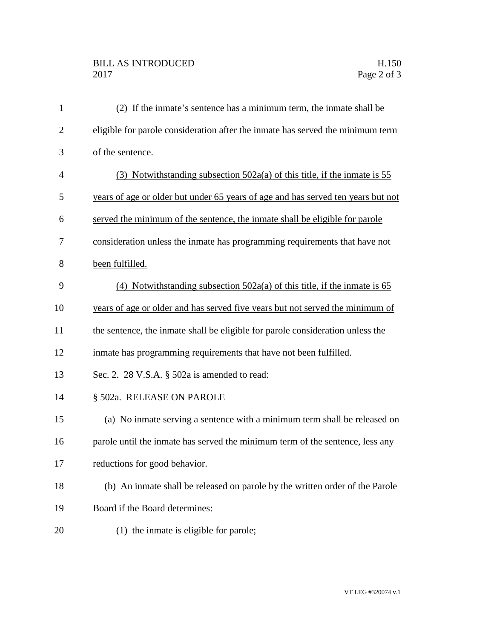## BILL AS INTRODUCED H.150 Page 2 of 3

| $\mathbf{1}$   | (2) If the inmate's sentence has a minimum term, the inmate shall be             |
|----------------|----------------------------------------------------------------------------------|
| $\overline{2}$ | eligible for parole consideration after the inmate has served the minimum term   |
| 3              | of the sentence.                                                                 |
| $\overline{4}$ | (3) Notwithstanding subsection $502a(a)$ of this title, if the inmate is 55      |
| 5              | years of age or older but under 65 years of age and has served ten years but not |
| 6              | served the minimum of the sentence, the inmate shall be eligible for parole      |
| 7              | consideration unless the inmate has programming requirements that have not       |
| 8              | been fulfilled.                                                                  |
| 9              | (4) Notwithstanding subsection $502a(a)$ of this title, if the inmate is 65      |
| 10             | years of age or older and has served five years but not served the minimum of    |
| 11             | the sentence, the inmate shall be eligible for parole consideration unless the   |
| 12             | inmate has programming requirements that have not been fulfilled.                |
| 13             | Sec. 2. 28 V.S.A. § 502a is amended to read:                                     |
| 14             | § 502a. RELEASE ON PAROLE                                                        |
| 15             | (a) No inmate serving a sentence with a minimum term shall be released on        |
| 16             | parole until the inmate has served the minimum term of the sentence, less any    |
| 17             | reductions for good behavior.                                                    |
| 18             | (b) An inmate shall be released on parole by the written order of the Parole     |
| 19             | Board if the Board determines:                                                   |
| 20             | (1) the inmate is eligible for parole;                                           |